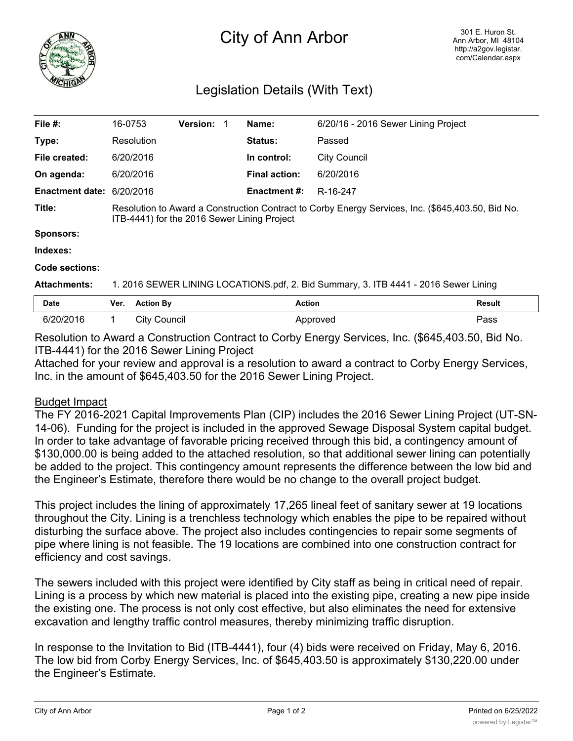

## City of Ann Arbor

## Legislation Details (With Text)

| File $#$ :                | 16-0753                                                                                                                                          |                  | <b>Version:</b> |  | Name:                | 6/20/16 - 2016 Sewer Lining Project |               |
|---------------------------|--------------------------------------------------------------------------------------------------------------------------------------------------|------------------|-----------------|--|----------------------|-------------------------------------|---------------|
| Type:                     |                                                                                                                                                  | Resolution       |                 |  | <b>Status:</b>       | Passed                              |               |
| File created:             |                                                                                                                                                  | 6/20/2016        |                 |  | In control:          | <b>City Council</b>                 |               |
| On agenda:                |                                                                                                                                                  | 6/20/2016        |                 |  | <b>Final action:</b> | 6/20/2016                           |               |
| Enactment date: 6/20/2016 |                                                                                                                                                  |                  |                 |  | <b>Enactment #:</b>  | R-16-247                            |               |
| Title:                    | Resolution to Award a Construction Contract to Corby Energy Services, Inc. (\$645,403.50, Bid No.<br>ITB-4441) for the 2016 Sewer Lining Project |                  |                 |  |                      |                                     |               |
| <b>Sponsors:</b>          |                                                                                                                                                  |                  |                 |  |                      |                                     |               |
| Indexes:                  |                                                                                                                                                  |                  |                 |  |                      |                                     |               |
| Code sections:            |                                                                                                                                                  |                  |                 |  |                      |                                     |               |
| <b>Attachments:</b>       | 1. 2016 SEWER LINING LOCATIONS.pdf, 2. Bid Summary, 3. ITB 4441 - 2016 Sewer Lining                                                              |                  |                 |  |                      |                                     |               |
| Date                      | Ver.                                                                                                                                             | <b>Action By</b> |                 |  | <b>Action</b>        |                                     | <b>Result</b> |
| 6/20/2016                 | 1.                                                                                                                                               | City Council     |                 |  |                      | Approved                            | Pass          |

Resolution to Award a Construction Contract to Corby Energy Services, Inc. (\$645,403.50, Bid No. ITB-4441) for the 2016 Sewer Lining Project

Attached for your review and approval is a resolution to award a contract to Corby Energy Services, Inc. in the amount of \$645,403.50 for the 2016 Sewer Lining Project.

## Budget Impact

The FY 2016-2021 Capital Improvements Plan (CIP) includes the 2016 Sewer Lining Project (UT-SN-14-06). Funding for the project is included in the approved Sewage Disposal System capital budget. In order to take advantage of favorable pricing received through this bid, a contingency amount of \$130,000.00 is being added to the attached resolution, so that additional sewer lining can potentially be added to the project. This contingency amount represents the difference between the low bid and the Engineer's Estimate, therefore there would be no change to the overall project budget.

This project includes the lining of approximately 17,265 lineal feet of sanitary sewer at 19 locations throughout the City. Lining is a trenchless technology which enables the pipe to be repaired without disturbing the surface above. The project also includes contingencies to repair some segments of pipe where lining is not feasible. The 19 locations are combined into one construction contract for efficiency and cost savings.

The sewers included with this project were identified by City staff as being in critical need of repair. Lining is a process by which new material is placed into the existing pipe, creating a new pipe inside the existing one. The process is not only cost effective, but also eliminates the need for extensive excavation and lengthy traffic control measures, thereby minimizing traffic disruption.

In response to the Invitation to Bid (ITB-4441), four (4) bids were received on Friday, May 6, 2016. The low bid from Corby Energy Services, Inc. of \$645,403.50 is approximately \$130,220.00 under the Engineer's Estimate.